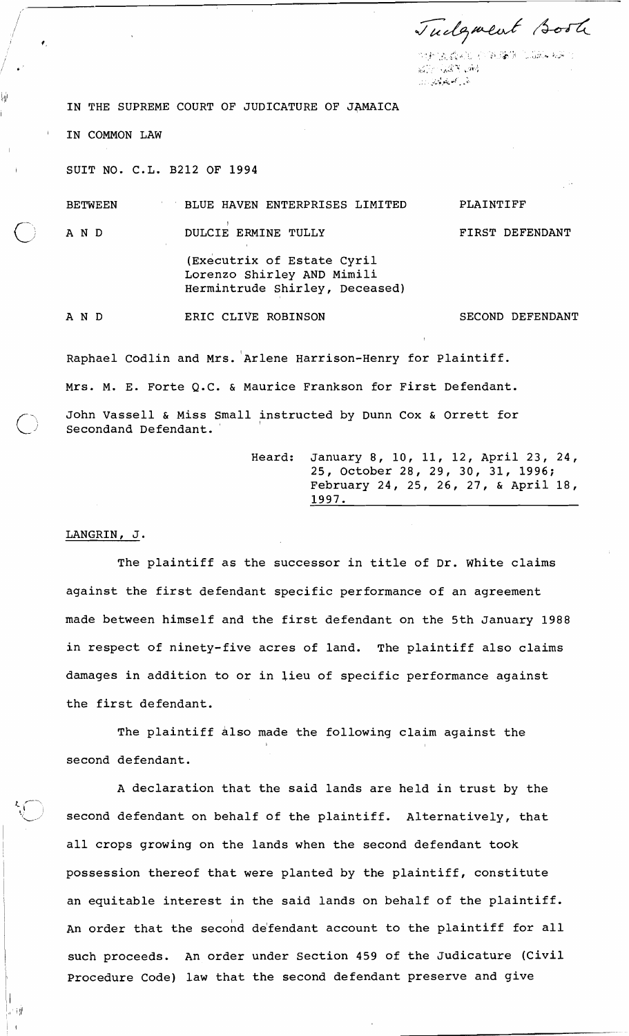Tudgment soot

けいおくなんじ バイのじあり にんぶん ねみつ Killey K. Bay (1988) القرار كالمتعاطين وزار

PLAINTIFF

IN THE SUPREME COURT OF JUDICATURE OF JAMAICA

IN COMMON LAW

SUIT NO. C.L. B212 OF 1994

BETWEEN BLUE HAVEN ENTERPRISES LIMITED

111'

 $\bigcap$  AND DULCIE ERMINE TULLY

(Executrix of Estate Cyril Lorenzo Shirley AND Mimili Hermintrude Shirley, Deceased)

AND

ERIC CLIVE ROBINSON SECOND DEFENDANT

FIRST DEFENDANT

Raphael Codlin and Mrs. Arlene Harrison-Henry for Plaintiff. Mrs. M. E. Forte Q.C. & Maurice Frankson for First Defendant.  $\bigcirc$  John Vassell & Miss Small instructed by Dunn Cox & Orrett for Secondand Defendant.

> Heard: January 8, 10, 11, 12, April 23, 24, 25, October 28, 29, 30, 31, 1996; February 24, 25, 26, 27, & April 18, 1997.

### LANGRIN, J.

**1-** ,'- --

 $\mid \cdot \mid$  i) $^{\dagger}$  $\mathbf{I}$ 

The plaintiff as the successor in title of Dr. white claims against the first defendant specific performance of an agreement made between himself and the first defendant on the 5th January 1988 in respect of ninety-five acres of land. The plaintiff also claims damages in addition to or in lieu of specific performance against the first defendant.

The plaintiff also made the following claim against the I second defendant.

A declaration that the said lands are held in trust by the second defendant on behalf of the plaintiff. Alternatively, that all crops growing on the lands when the second defendant took <sup>1</sup>possession thereof that were planted by the plaintiff, constitute an equitable interest in the said lands on behalf of the plaintiff. An order that the second defendant account to the plaintiff for all such proceeds. An order under Section 459 of the Judicature (Civil Procedure Code) law that the second defendant preserve and give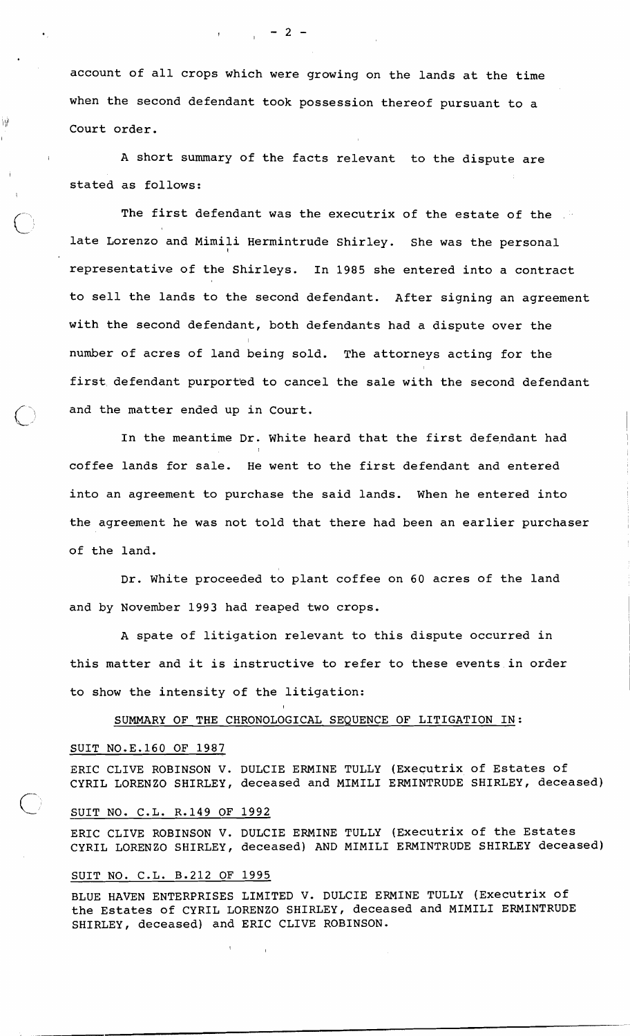account of all crops which were growing on the lands at the time when the second defendant took possession thereof pursuant to a  $\mathbb{I}^{\#}$  Court order.

> A short summary of the facts relevant to the dispute are stated as follows:

The first defendant was the executrix of the estate of the late Lorenzo and Mimili Hermintrude Shirley. She was the personal representative of the Shirleys. In 1985 she entered into a contract to sell the lands to the second defendant. After signing an agreement with the second defendant, both defendants had a dispute over the number of acres of land being sold. The attorneys acting for the first defendant purported to cancel the sale with the second defendant and the matter ended up in Court.

In the meantime Dr. white heard that the first defendant had coffee lands for sale. He went to the first defendant and entered into an agreement to purchase the said lands. When he entered into the agreement he was not told that there had been an earlier purchaser of the land.

Dr. White proceeded to plant coffee on 60 acres of the land and by November 1993 had reaped two crops.

A spate of litigation relevant to this dispute occurred in this matter and it is instructive to refer to these eventsin order to show the intensity of the litigation:

SUMMARY OF THE CHRONOLOGICAL SEQUENCE OF LITIGATION IN:

### SUIT N0.E.160 OF 1987

I

I

ERIC CLIVE ROBINSON V. DULCIE ERMINE TULLY (Executrix of Estates of CYRIL LORENZO SHIRLEY, deceased and MIMILI ERMINTRUDE SHIRLEY, deceased)

### SUIT NO. C.L. R.149 OF 1992

ERIC CLIVE ROBINSON V. DULCIE ERMINE TULLY (Executrix of the Estates CYRIL LORENZO SHIRLEY, deceased) AND MIMILI ERMINTRUDE SHIRLEY deceased)

# SUIT NO. C.L. B.212 OF 1995

 $\mathbf{1}$ 

 $\sim$  1

BLUE HAVEN ENTERPRISES LIMITED V. DULCIE ERMINE TULLY (Executrix of the Estates of CYRIL LORENZO SHIRLEY, deceased and MIMILI ERMINTRUDE SHIRLEY, deceased) and ERIC CLIVE ROBINSON.

 $\overline{2}$  – 2 –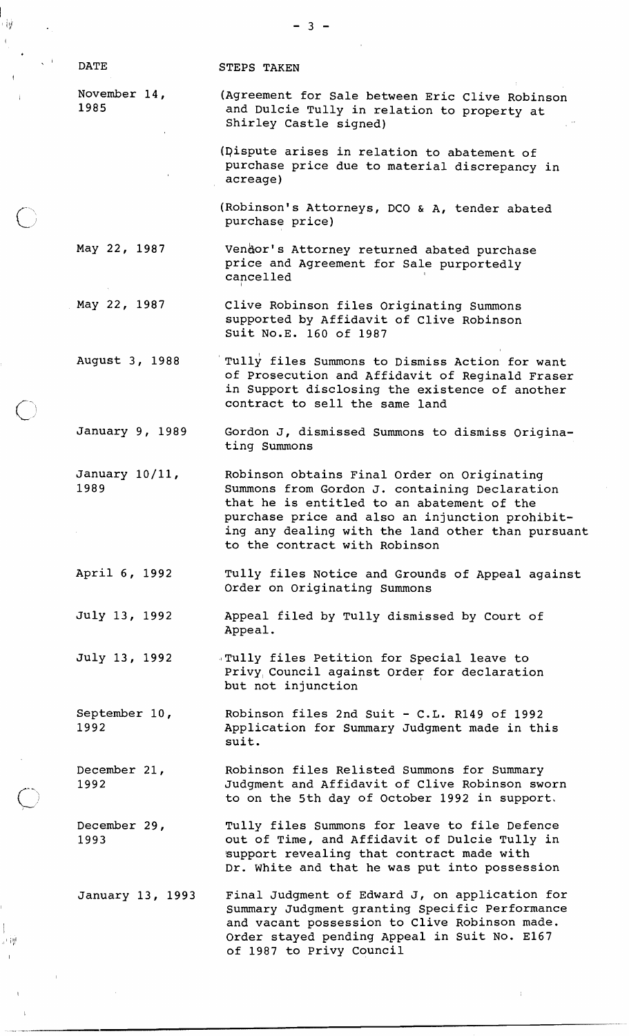I

ارا -

 $\bigcirc$ 

 $\bigcirc$ 

 $\overline{\phantom{a}}$ 교사면 STEPS TAKEN

November 14, 1985

> (qispute arises in relation to abatement of purchase price due to material discrepancy in acreage)

(Agreement for Sale between Eric Clive Robinson and Dulcie Tully in relation to property at

(Robinson's Attorneys, DCO & A, tender abated purchase price)

May 22, 1987 Vendor's Attorney returned abated purchase price and Agreement for Sale purportedly cancelled

Shirley Castle signed)

 $-3 -$ 

May 22, 1987 Clive Robinson files Originating Summons supported by Affidavit of Clive Robinson Suit N0.E. 160 of 1987

August 3, 1988 Tully files Summons to Dismiss Action for want of Prosecution and Affidavit of Reginald Fraser in Support disclosing the existence of another contract to sell the same land

January 9, 1989 Gordon J, dismissed Summons to dismiss Originating Summons

January 10/11, 1989 Robinson obtains Final Order on Originating Summons from Gordon J. containing Declaration that he is entitled to an abatement of the purchase price and also an injunction prohibiting any dealing with the land other than pursuant to the contract with Robinson

April 6, 1992 Tully files Notice and Grounds of Appeal against Order on Originating Summons

July 13, 1992 Appeal filed by Tully dismissed by Court of Appeal.

July 13, 1992 ,~Tully files Petition for Special leave to Privy Council against Order for declaration but not injunction

September 10, 1992 Robinson files 2nd Suit - C.L. R149 of 1992 Application for Summary Judgment made in this suit.

Robinson files Relisted Summons for Summary December 21, 1992 Judgment and Affidavit of Clive Robinson sworn to on the 5th day of October 1992 in support,

December 29, 1993 Tully files Summons for leave to file Defence out of Time, and Affidavit of Dulcie Tully in suppart revealing that contract made with Dr. White and that he was put into possession

January 13, 1993 Final Judgment of Edward J, on application for Summary Judgment granting Specific Performance and vacant possession to Clive Robinson made. Order stayed pending Appeal in Suit No. El67 of 1987 to Privy Council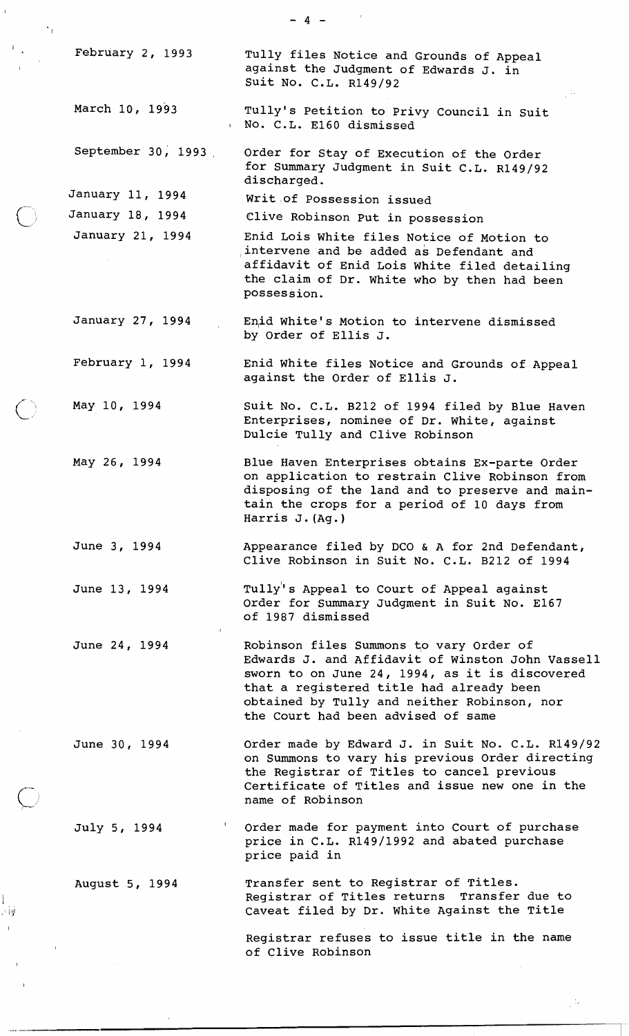February 2, 1993 Tully files Notice and Grounds of Appeal against the Judgment of Edwards J. in suit No. C.L. R149/92 March 10, 1993 Tully's Petition to Privy Council in Suit <sup>I</sup>No. C.L. El60 dismissed September 30, 1993 order for Stay of Execution of the Order for Summary Judgment in Suit C.L. R149/92 discharged. January 11, 1994 Writ of Possession issued January 18, 1994 Clive Robinson Put in possession January 21, 1994 Enid Lois White files Notice of Motion to intervene and be added as Defendant and affidavit of Enid Lois White filed detailing the claim of Dr. White who by then had been possession. January 27, 1994 Enid White's Motion to intervene dismissed by Order of Ellis J. February 1, 1994 Enid White files Notice and Grounds of Appeal against the Order of Ellis J. May 10, 1994 May 26, 1994 June 3, 1994 June 13, 1994 June 24, 1994 June 30, 1994 July 5, 1994 August 5, 1994 Suit No. C.L. B212 of 1994 filed by Blue Haven Enterprises, nominee of Dr. White, against Dulcie Tully and Clive Robinson Blue Haven Enterprises obtains Ex-parte Order on application to restrain Clive Robinson from disposing of the land and to preserve and maintain the crops for a period of 10 days from Harris J. (Ag. ) Appearance filed by DCO & A for 2nd Defendant, Clive Robinson in Suit No. C.L. B212 of 1994 Tully's Appeal to Court of Appeal against Order for Summary Judgment in Suit No. El67 of 1987 dismissed I Robinson files Summons to vary Order of Edwards J. and Affidavit of Winston John Vassell sworn to on June 24, 1994, as it is discovered that a registered title had already been obtained by Tully and neither Robinson, nor the Court had been advised of same Order made by Edward J. in Suit No. C.L. R149/92 on Summons to vary his previous Order directing the Registrar of Titles to cancel previous Certificate of Titles and issue new one in the name of Robinson Order made for payment into Court of purchase price in C.L. R149/1992 and abated purchase price paid in Transfer sent to Registrar of Titles. Registrar of Titles returns Transfer due to Caveat filed by Dr. White Against the Title Registrar refuses to issue title in the name of Clive Robinson

اړن ب

 $-4 -$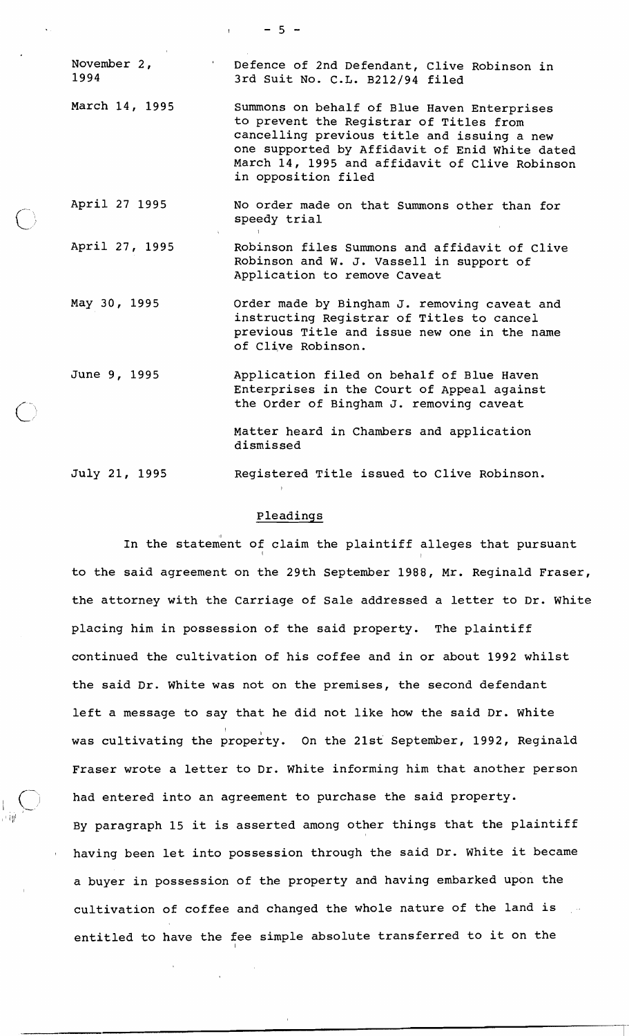November 2, The Defence of 2nd Defendant, Clive Robinson in<br>1994 1994 3rd Suit No. C.L. B212/94 filed March 14, 1995 Summons on behalf of Blue Haven Enterprises to prevent the Registrar of Titles from cancelling previous title and issuing a new one supported by Affidavit of Enid White dated March 14, 1995 and affidavit of Clive Robinson in opposition filed April 27 1995 No order made on that Summons other than for speedy trial April 27, 1995 Robinson files Summons and affidavit of Clive Robinson and W. J. Vassell in support of Application to remove Caveat May 30, 1995 June 9, 1995 July 21, 1995 Order made by Bingham J. removing caveat and instructing Registrar of Titles to cancel previous Title and issue new one in the name of Clive Robinson. Application filed on behalf of Blue Haven Enterprises in the Court of Appeal against the Order of Bingham J. removing caveat Matter heard in Chambers and application dismissed Registered Title issued to Clive Robinson.

 $-5 -$ 

## Pleadinqs

1

In the statement of claim the plaintiff alleges that pursuant I I to the said agreement on the 29th September 1988, Mr. Reginald Fraser, the attorney with the Carriage of Sale addressed a letter to Dr. White placing him in possession of the said property. The plaintiff continued the cultivation of his coffee and in or about 1992 whilst the said Dr. White was not on the premises, the second defendant left a message to say that he did not like how the said Dr. white was cultivating the property. On the 21st September, 1992, Reginald Fraser wrote a letter to Dr. White informing him that another person had entered into an agreement to purchase the said property. By paragraph 15 it is asserted among other things that the plaintiff having been let into possession through the said Dr. White it became a buyer in possession of the property and having embarked upon the cultivation of coffee and changed the whole nature of the land is entitled to have the fee simple absolute transferred to it on the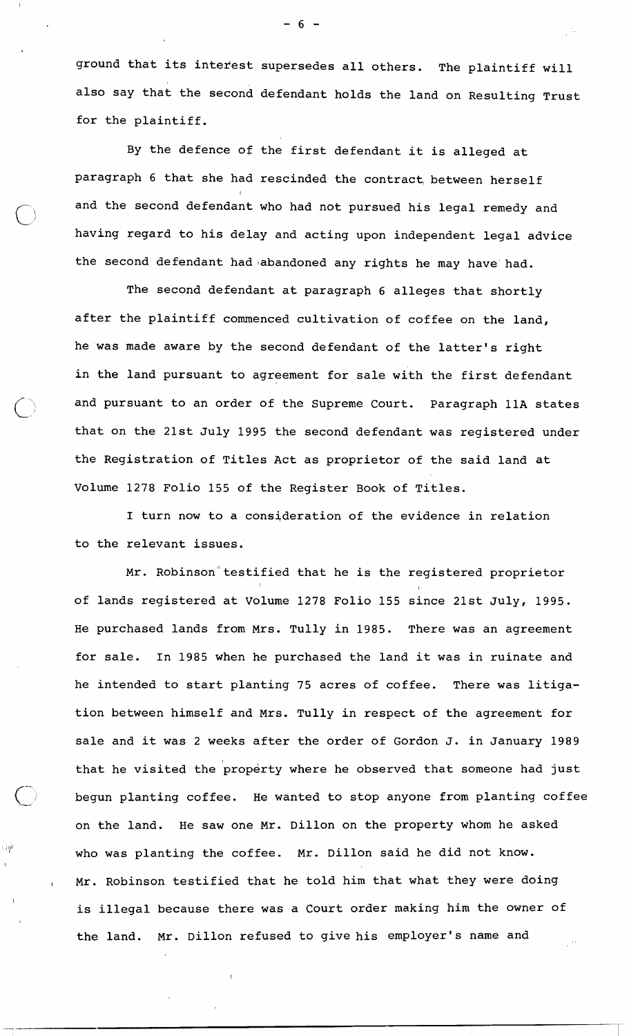ground that its interest supersedes all others. The plaintiff will also say that the second defendant holds the land on Resulting Trust for the plaintiff.

By the defence of the first defendant it is alleged at paragraph 6 that she had rescinded the contract, between herself and the second defendant who had not pursued his legal remedy and having regard to his delay and acting upon independent legal advice the second defendant had abandoned any rights he may have had.

The second defendant at paragraph 6 alleges that shortly after the plaintiff commenced cultivation of coffee on the land, he was made aware by the second defendant of the latter's right in the land pursuant to agreement for sale with the first defendant and pursuant to an order of the Supreme Court. Paragraph 11A states that on the 21st July 1995 the second defendant was registered under the Registration of Titles Act as proprietor of the said land at Volume 1278 Folio 155 of the Register Book of Titles.

I turn now to a consideration of the evidence in relation to the relevant issues.

Mr. Robinson testified that he is the registered proprietor In the contract of the contract of the contract of the contract of the contract of of lands registered at Volume 1278 Folio 155 since 21st July, 1995. He purchased lands from Mrs. Tully in 1985. There was an agreement for sale. In 1985 when he purchased the land it was in ruinate and he intended to start planting 75 acres of coffee. There was litigation between himself and Mrs. Tully in respect of the agreement for sale and it was 2 weeks after the order of Gordon J. in January 1989 that he visited the property where he observed that someone had just begun planting coffee. He wanted to stop anyone from planting coffee on the land. He saw one Mr. Dillon on the property whom he asked  $\mathbb{I}^\#$  who was planting the coffee. Mr. Dillon said he did not know. Mr. Robinson testified that he told him that what they were doing is illegal because there was a Court order making him the owner of the land. Mr. Dillon refused to give his employer's name and

- 6 -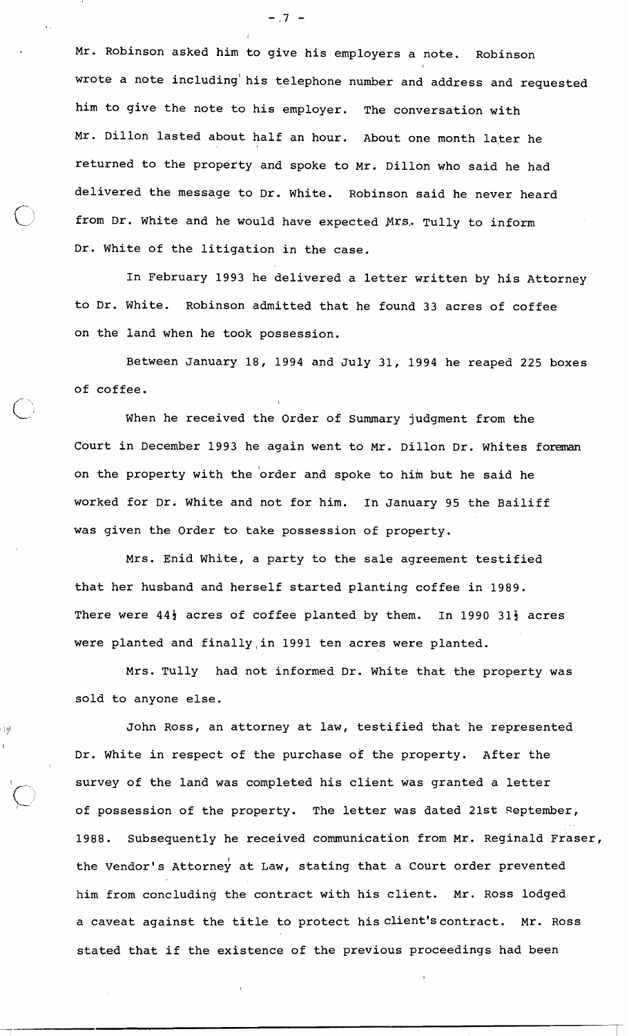Mr. Robinson asked him to give his employers a note. Robinson wrote a note including his telephone number and address and requested him to give the note to his employer. The conversation with Mr. Dillon lasted about half an hour. About one month later he returned to the property and spoke to Mr. Dillon who said he had delivered the message to Dr. white. Robinson said he never heard from Dr. White and he would have expected Mrs. Tully to inform Dr. white of the litigation in the case.

In February 1993 he delivered a letter written by his Attorney to Dr. White. Robinson admitted that he found 33 acres of coffee on the land when he took possession.

Between January 18, 1994 and July 31, 1994 he reaped 225 boxes of coffee.

C- <sup>1</sup> of correc.<br>When he received the Order of Summary judgment from the Court in December 1993 he again went to Mr. Dillon Dr. Whites foreman on the property with the 'order and spoke to him but he said he worked for Dr. White and not for him. In January 95 the Bailiff was given the Order to take possession of property.

Mrs. Enid White, a party to the sale agreement testified that her husband and herself started planting coffee in 1989. There were  $44\frac{1}{2}$  acres of coffee planted by them. In 1990 31 $\frac{1}{2}$  acres were planted and finally,in 1991 ten acres were planted.

Mrs. Tully had not informed Dr. White that the property was sold to anyone else.

 $\bigcup$ 

r iyi

John Ross, an attorney at law, testified that he represented Dr. White in respect of the purchase of the property. After the survey of the land was completed his client was granted a letter of possession of the property. The letter was dated 21st September, 1988. Subsequently he received communication from Mr. Reginald Fraser, the Vendor's Attorney at Law, stating that a Court order prevented him from concluding the contract with his client. Mr. Ross lodged a caveat against the title to protect hisclient'scontract. Mr. Ross stated that if the existence of the previous proceedings had been

 $-.7 -$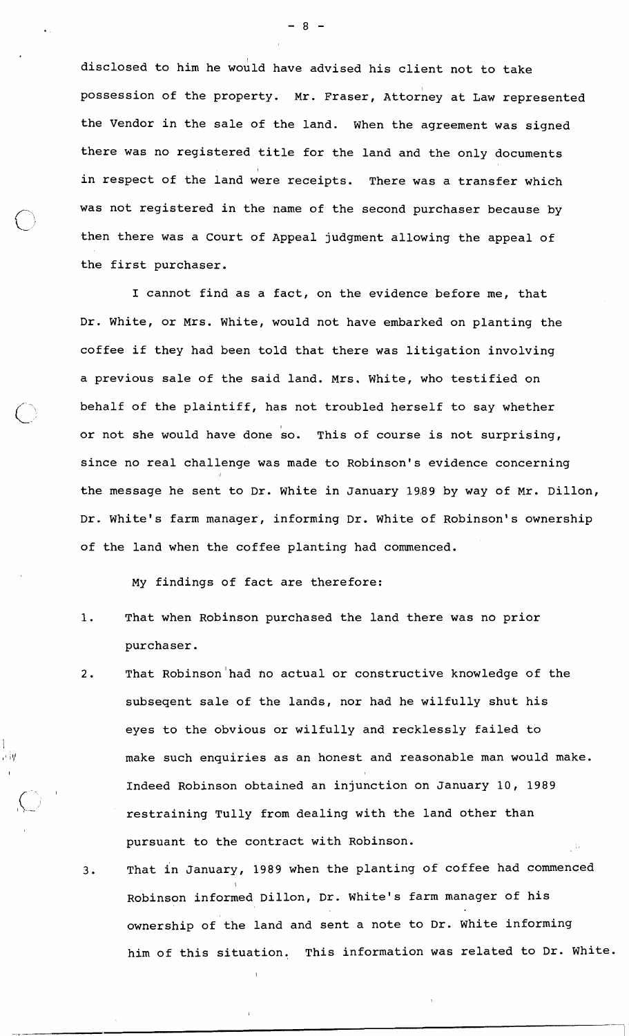disclosed to him he would have advised his client not to take possession of the property. Mr. Fraser, Attorney at Law represented the Vendor in the sale of the land. When the agreement was signed there was no registered title for the land and the only documents in respect of the land were receipts. There was a transfer which was not registered in the name of the second purchaser because by then there was a Court of Appeal judgment allowing the appeal of the first purchaser.

I cannot find as a fact, on the evidence before me, that Dr. White, or Mrs. White, would not have embarked on planting the coffee if they had been told that there was litigation involving a previous sale of the said land. Mrs. White, who testified on behalf of the plaintiff, has not troubled herself to say whether or not she would have done so. This of course is not surprising, since no real challenge was made to Robinson's evidence concerning the message he sent to Dr. White in January 19,89 by way of Mr. Dillon, Dr. White's farm manager, informing Dr. white of Robinson's ownership of the land when the coffee planting had commenced.

My findings of fact are therefore:

 $\overline{\phantom{a}}$ 

- 1. That when Robinson purchased the land there was no prior purchaser.
- 2. That Robinson had no actual or constructive knowledge of the subseqent sale of the lands, nor had he wilfully shut his eyes to the obvious or wilfully and recklessly failed to make such enquiries as an honest and reasonable man would make. Indeed Robinson obtained an injunction on January 10, 1989 restraining Tully from dealing with the land other than pursuant to the contract with Robinson.
- That in January, 1989 when the planting of coffee had commenced  $3.$ Robinson informed Dillon, Dr. White's farm manager of his ownership of the land and sent a note to Dr. white informing him of this situation. This information was related to Dr. White.

 $-8-$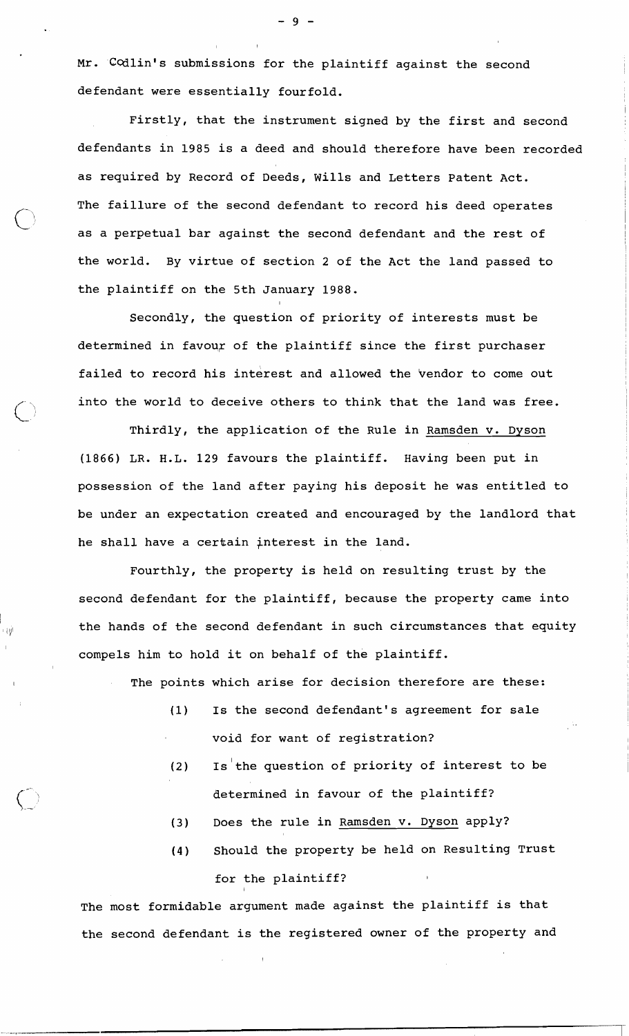Mr. 'Codlin's submissions for the plaintiff against the second defendant were essentially fourfold.

Firstly, that the instrument signed by the first and second defendants in 1985 is a deed and should therefore have been recorded as required by Record of Deeds, Wills and Letters Patent Act. The faillure of the second defendant to record his deed operates as a perpetual bar against the second defendant and the rest of the world. By virtue of section 2 of the Act the land passed to the plaintiff on the 5th January 1988.

Secondly, the question of priority of interests must be determined in favour of the plaintiff since the first purchaser failed to record his interest and allowed the 'vendor to come out into the world to deceive others to think that the land was free.

Thirdly, the application of the Rule in Ramsden v. Dyson (1866) LR. H.L. 129 favours the plaintiff. Having been put in possession of the land after paying his deposit he was entitled to be under an expectation created and encouraged by the landlord that he shall have a certain interest in the land.

Fourthly, the property is held on resulting trust by the second defendant for the plaintiff, because the property came into the hands of the second defendant in such circumstances that equity compels him to hold it on behalf of the plaintiff.

The points which arise for decision therefore are these:

- (1) Is the second defendant's agreement for sale void for want of registration?
- (2) Is'the question of priority of interest to be determined in favour of the plaintiff?
- **(3)** Does the rule in Ramsden v. Dyson apply?
- **(4)** Should the property be held on Resulting Trust for the plaintiff?

The most formidable argument made against the plaintiff is that the second defendant is the registered owner of the property and

I

工具

 $-9-$ 

I I I I I I I I I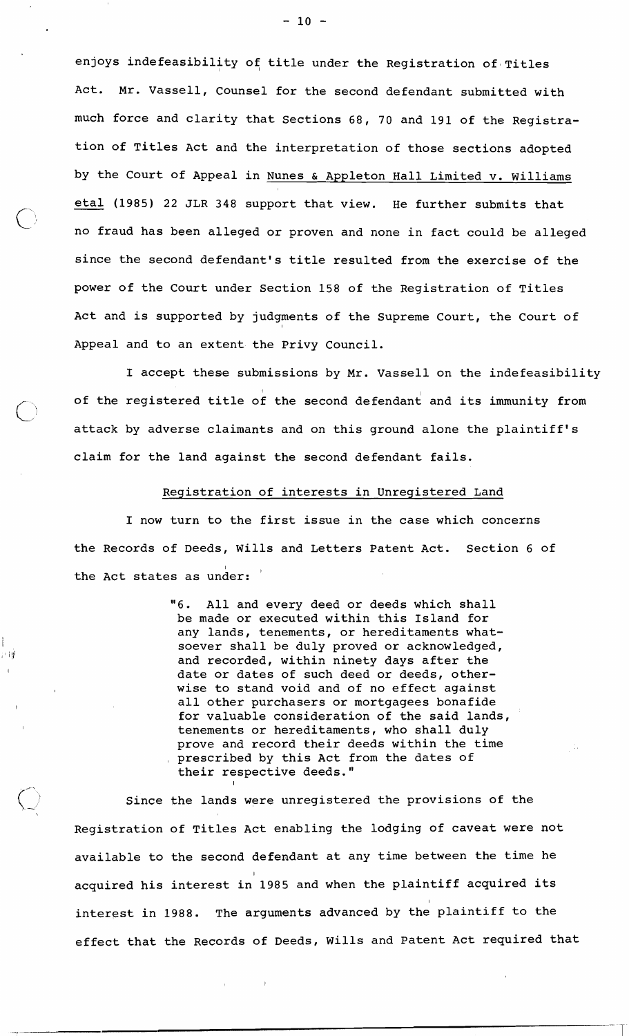enjoys indefeasibility of title under the Registration of Titles Act. Mr. Vassell, Counsel for the second defendant submitted with much force and clarity that Sections 68, 70 and 191 of the Registration of Titles Act and the interpretation of those sections adopted by the Court of Appeal in Nunes & Appleton Hall Limited v. Williams eta1 (1985) 22 JLR 348 support that view. He further submits that no fraud has been alleged or proven and none in fact could be alleged since the second defendant's title resulted from the exercise of the power of the Court under Section 158 of the Registration of Titles Act and is supported by judgments of the Supreme Court, the Court of Appeal and to an extent the Privy Council.

I accept these submissions by Mr. Vassell on the indefeasibility of the registered title of the second defendant and its immunity from attack by adverse claimants and on this ground alone the plaintiff's claim for the land against the second defendant fails.

Registration of interests in Unreqistered Land

I now turn to the first issue in the case which concerns the Records of Deeds, Wills and Letters Patent Act. Section 6 of the Act states as un $\stackrel{\rightharpoonup}{\mathsf{der}}:$   $\dot{\phantom{x}}$ 

> "6. All and every deed or deeds which shall be made or executed within this Island for any lands, tenements, or hereditaments whatsoever shall be duly proved or acknowledged, and recorded, within ninety days after the date or dates of such deed or deeds, otherwise to stand void and of no effect against all other purchasers or mortgagees bonafide for valuable consideration of the said lands, tenements or hereditaments, who shall duly prove and record their deeds within the time prescribed by this Act from the dates of their respective deeds."

Since the lands were unregistered the provisions of the Registration of Titles Act enabling the lodging of caveat were not available to the second defendant at any time between the time he acquired his interest in 1985 and when the plaintiff acquired its interest in 1988. The arguments advanced by the plaintiff to the effect that the Records of Deeds, wills and Patent Act required that

I

計開

 $-10 -$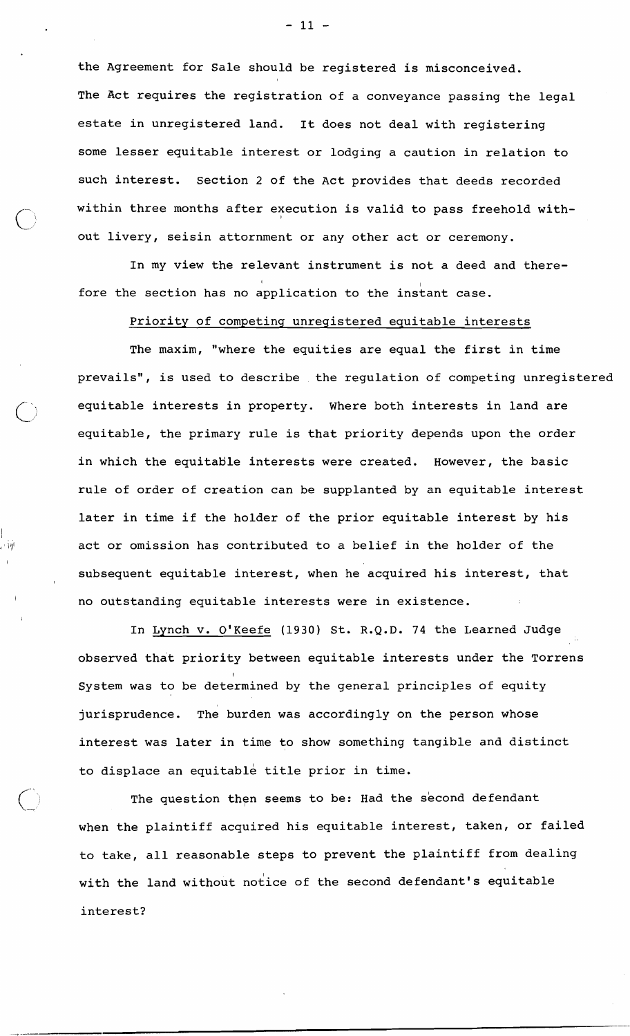the Agreement for Sale should be registered is misconceived. The Act requires the registration of a conveyance passing the legal estate in unregistered land. It does not deal with registering some lesser equitable interest or lodging a caution in relation to such interest. Section 2 of the Act provides that deeds recorded within three months after execution is valid to pass freehold without livery, seisin attornment or any other act or ceremony.

In my view the relevant instrument is not a deed and therefore the section has no dpplication to the instant case.

Priority of competing unregistered equitable interests

The maxim, "where the equities are equal the first in time prevails", is used to describe the regulation of competing unregistered equitable interests in property. Where both interests in land are equitable, the primary rule is that priority depends upon the order in which the equitable interests were created. However, the basic rule of order of creation can be supplanted by an equitable interest later in time if the holder of the prior equitable interest by his act or omission has contributed to a belief in the holder of the subsequent equitable interest, when he acquired his interest, that no outstanding equitable interests were in existence.

I

In Lynch v. O'Keefe (1930) St. R.Q.D. 74 the Learned Judge observed that priority between equitable interests under the Torrens I System was to be determined by the general principles of equity jurisprudence. The burden was accordingly on the person whose interest was later in time to show something tangible and distinct to displace an equitable title prior in time.

The question then seems to be: Had the second defendant when the plaintiff acquired his equitable interest, taken, or failed to take, all reasonable steps to prevent the plaintiff from dealing with the land without notice of the second defendant's equitable interest?

 $-11 -$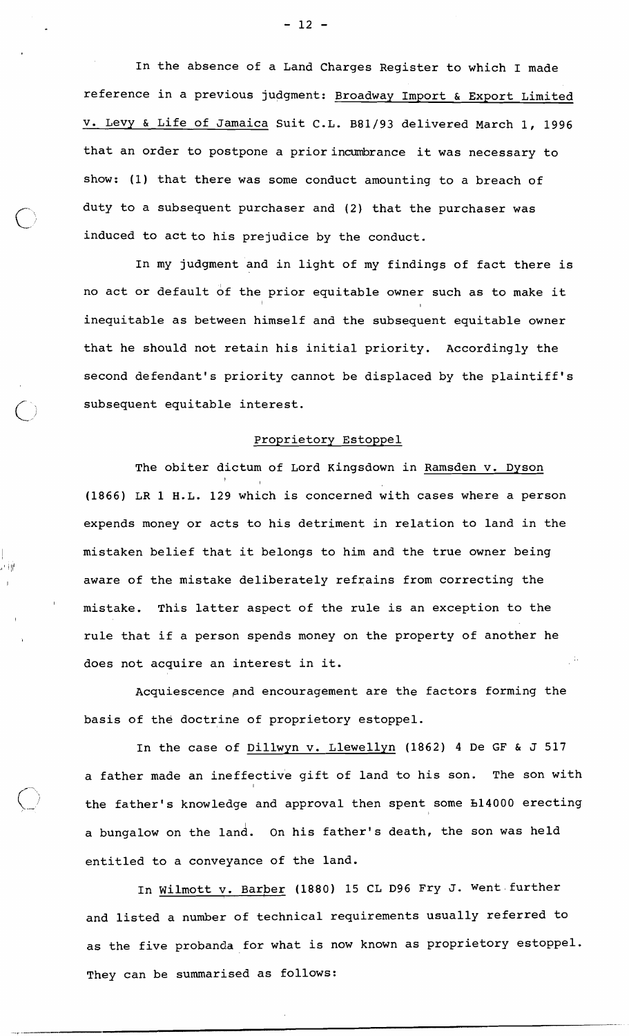In the absence of a Land Charges Register to which I made reference in a previous judgment: Broadway Import & Export Limited v. Levy & Life of Jamaica Suit C.L. B81/93 delivered March 1, 1996 that an order to postpone a prior incumbrance it was necessary to show: (1) that there was some conduct amounting to a breach of duty to a subsequent purchaser and (2) that the purchaser was induced to act to his prejudice by the conduct.

 $\bigcirc$ 

 $\cdot$  ' i )/' .

In my judgment and in light of my findings of fact there is no act or default bf the prior equitable owner such as to make it I I inequitable as between himself and the subsequent equitable owner that he should not retain his initial priority. Accordingly the second defendant's priority cannot be displaced by the plaintiff's subsequent equitable interest.

## Proprietary Estoppel

The obiter dictum of Lord Kingsdown in Ramsden v. Dyson  $\mathbf{I}$  is a set  $\mathbf{I}$ (1866) LR 1 H.L. 129 which is concerned with cases where a person expends money or acts to his detriment in relation to land in the mistaken belief that it belongs to him and the true owner being aware of the mistake deliberately refrains from correcting the mistake. This latter aspect of the rule is an exception to the rule that if a person spends money on the property of another he does not acquire an interest in it.

Acquiescence pnd encouragement are the factors forming the basis of the doctrine of proprietory estoppel.

In the case of Dillwyn v. Llewellyn (1862) 4 De **GF** & J 517 a father made an ineffective gift of land to his son. The son with I the father's knowledge and approval then spent some h14000 erecting a bungalow on the land. On his father's death, the son was held entitled to a conveyance of the land.

In Wilmott v. Barber (1880) 15 CL D96 Fry J. Went further and listed a number of technical requirements usually referred to as the five probanda for what is now known as proprietory estoppel. They can be summarised as follows:

 $-12 -$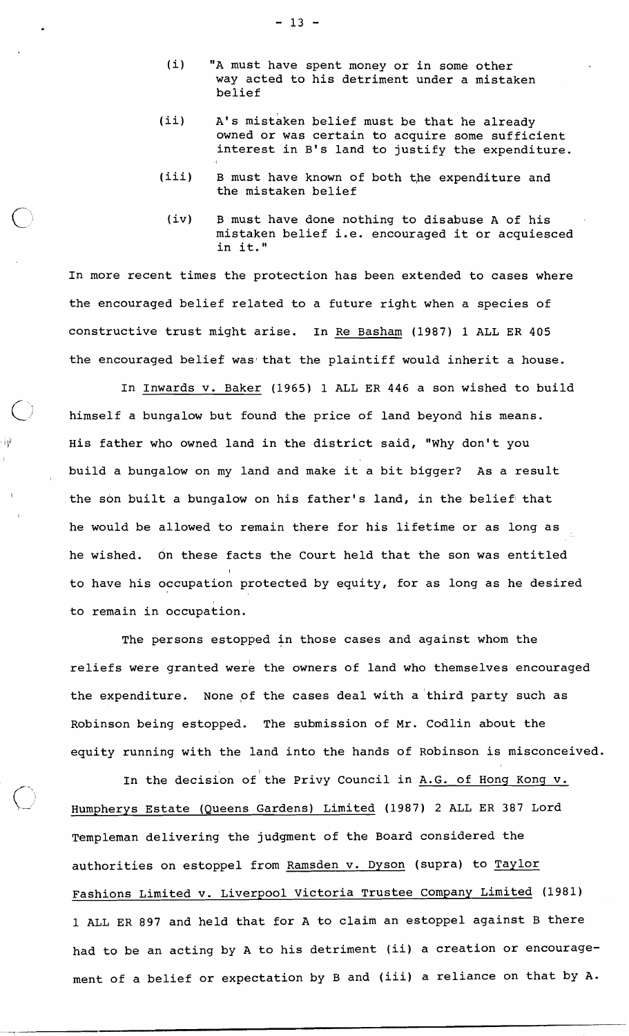- (i) "A must have spent money or in some other way acted to his detriment under a mistaken belief
- (ii) A's mistaken belief must be that he already owned or was certain to acquire some sufficient interest in B's land to justify the expenditure.
- (iii) B must have known of both the expenditure and the mistaken belief
	- (iv) B must have done nothing to disabuse A of his mistaken belief i.e. encouraged it or acquiesced in it."

In more recent times the protection has been extended to cases where the encouraged belief related to a future right when a species of constructive trust might arise. In Re Basham (1987) 1 ALL ER 405 the encouraged belief was that the plaintiff would inherit a house.

In Inwards v. Baker (1965) 1 ALL ER 446 a son wished to build himself a bungalow but found the price of land beyond his means.  $\dot{W}$  is father who owned land in the district said, "Why don't you build a bungalow on my land and make it a bit bigger? As a result the son built a bungalow on his father's land, in the belief that he would be allowed to remain there for his lifetime or as long as he wished. dn these facts the Court held that the son was entitled to have his occupation protected by equity, for as long as he desired to remain in occupation.

> The persons estopped in those cases and against whom the reliefs were granted were the owners of land who themselves encouraged the expenditure. None of the cases deal with a third party such as Robinson being estopped. The submission of Mr. Codlin about the equity running with the land into the hands of Robinson is misconceived.

> In the decision of the Privy Council in A.G. of Hong Kong v. Humpherys Estate (Queens Gardens) Limited (1987) 2 ALL ER 387 Lord Templeman delivering the judgment of the Board considered the authorities on estoppel from Ramsden v. Dyson (supra) to Taylor Fashions Limited v. Liverpool Victoria Trustee Company Limited (1981) 1 ALL ER 897 and held that for A to claim an estoppel against B there had to be an acting by A to his detriment (ii) a creation or encouragement of a belief or expectation by B and (iii) a reliance on that by A.

 $-13 -$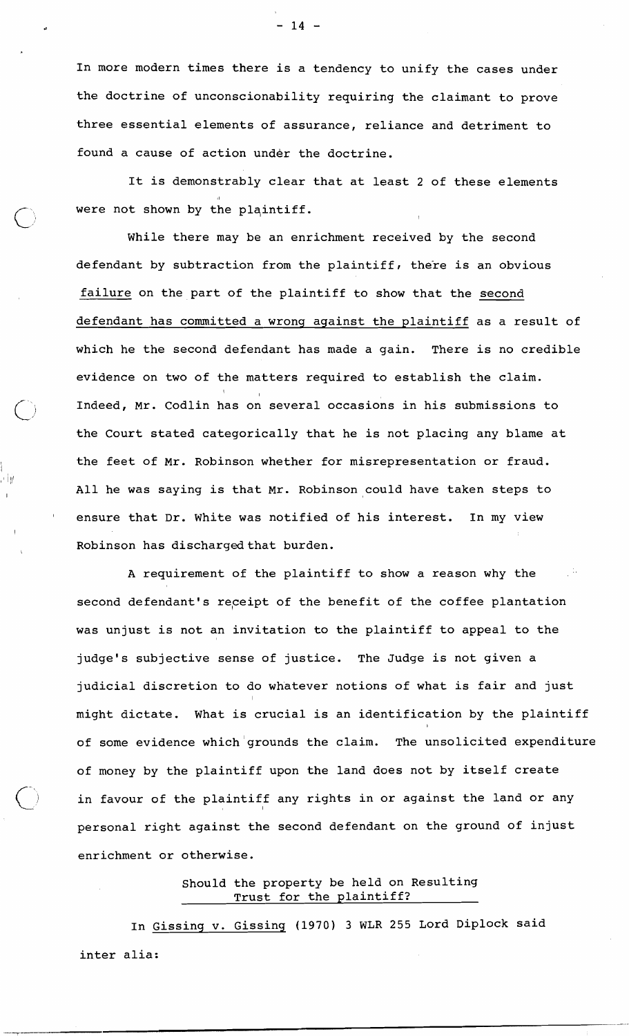In more modern times there is a tendency to unify the cases under the doctrine of unconscionability requiring the claimant to prove three essential elements of assurance, reliance and detriment to found a cause of action under the doctrine.

It is demonstrably clear that at least 2 of these elements I were not shown by the plaintiff.

While there may be an enrichment received by the second defendant by subtraction from the plaintiff, there is an obvious failure on the part of the plaintiff to show that the second defendant has committed a wrong against the plaintiff as a result of which he the second defendant has made a gain. There is no credible evidence on two of the matters required to establish the claim. I Indeed, Mr. Codlin has on several occasions in his submissions to the Court stated categorically that he is not placing any blame at the feet of Mr. Robinson whether for misrepresentation or fraud. All he was saying is that Mr. Robinson could have taken steps to ensure that Dr. White was notified of his interest. In my view Robinson has discharged that burden.

A requirement of the plaintiff to show a reason why the second defendant's receipt of the benefit of the coffee plantation was unjust is not an invitation to the plaintiff to appeal to the judge's subjective sense of justice. The Judge is not given a judicial discretion to do whatever notions of what is fair and just might dictate. What is crucial is an identification by the plaintiff of some evidence which grounds the claim. The unsolicited expenditure of money by the plaintiff upon the land does not by itself create in favour of the plaintiff any rights in or against the land or any personal right against the second defendant on the ground of injust enrichment or otherwise.

> Should the property be held on Resulting Trust for the plaintiff?

In Gissing v. Gissing **(1970) 3** WLR 255 Lord Diplock said inter alia:

 $-14 -$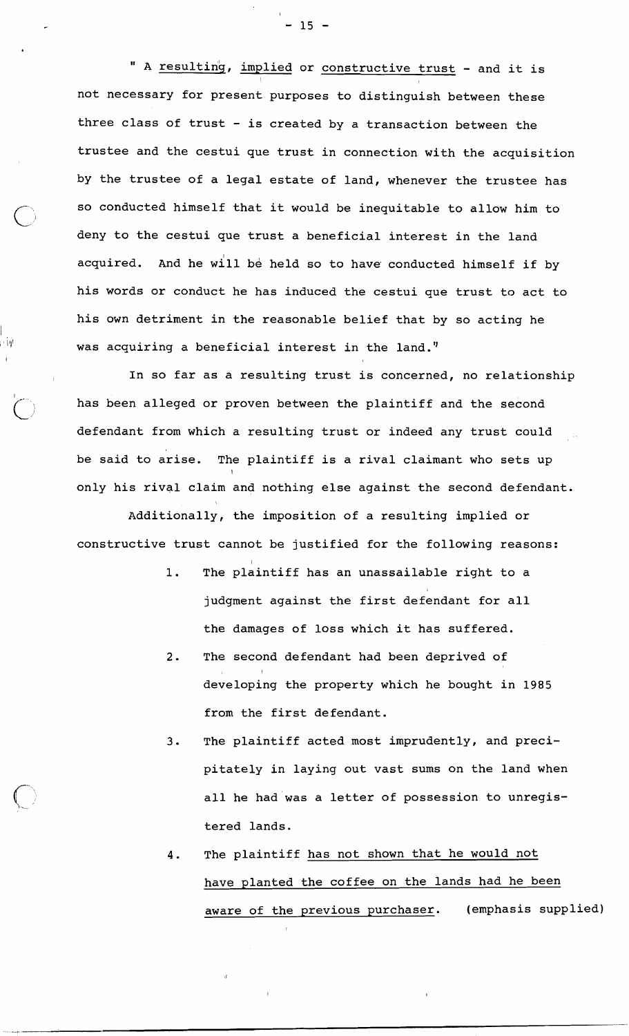" A resulting, implied or constructive trust - and it is I I not necessary for present purposes to distinguish between these three class of trust  $-$  is created by a transaction between the trustee and the cestui que trust in connection with the acquisition by the trustee of a legal estate of land, whenever the trustee has so conducted himself that it would be inequitable to allow him to deny to the cestui que trust a beneficial interest in the land acquired. And he will be held so to have conducted himself if by his words or conduct he has induced the cestui que trust to act to his own detriment in the reasonable belief that by so acting he was acquiring a beneficial interest in the land."

In so far as a resulting trust is concerned, no relationship has been alleged or proven between the plaintiff and the second defendant from which a resulting trust or indeed any trust could be said to arise. The plaintiff is a rival claimant who sets up I only his rival claim and nothing else against the second defendant.

I

I

Additionally, the imposition of a resulting implied or constructive trust cannot be justified for the following reasons:

- 1. The plaintiff has an unassailable right to a judgment against the first defendant for all the damages of loss which it has suffered.
- 2. The second defendant had been deprived of I developing the property which he bought in 1985 from the first defendant.
- **3.** The plaintiff acted most imprudently, and precipitately in laying out vast sums on the land when all he had was a letter of possession to unregistered lands.
- 4. The plaintiff has not shown that he would not have planted the coffee on the lands had he been aware of the previous purchaser. (emphasis supplied)

 $-15 -$